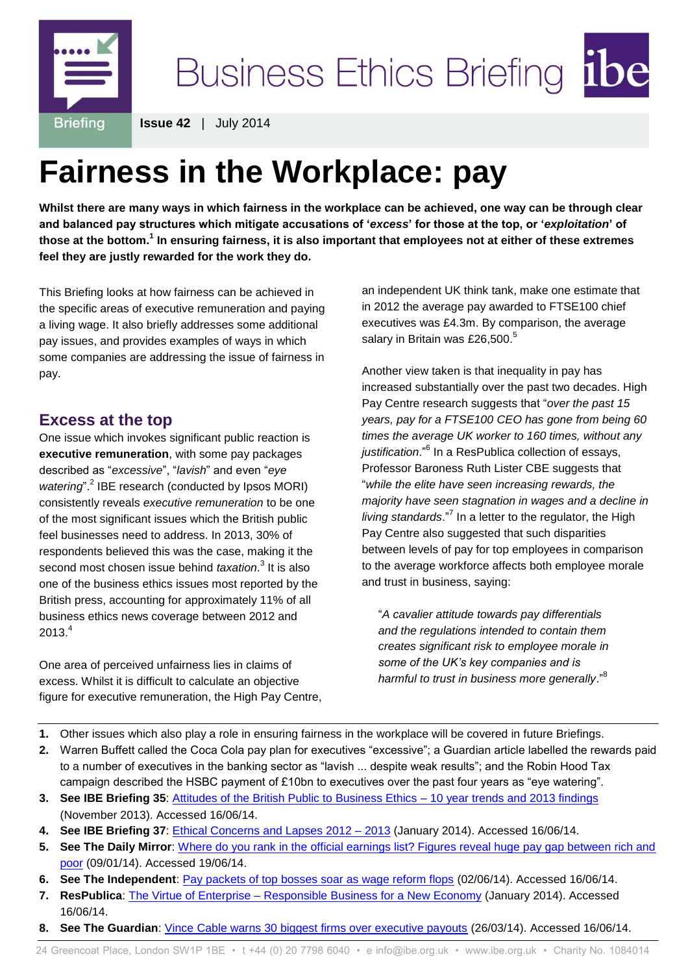

**Issue 42** | July 2014

# **Fairness in the Workplace: pay**

**Whilst there are many ways in which fairness in the workplace can be achieved, one way can be through clear and balanced pay structures which mitigate accusations of '***excess***' for those at the top, or '***exploitation***' of**  those at the bottom.<sup>1</sup> In ensuring fairness, it is also important that employees not at either of these extremes **feel they are justly rewarded for the work they do.**

This Briefing looks at how fairness can be achieved in the specific areas of executive remuneration and paying a living wage. It also briefly addresses some additional pay issues, and provides examples of ways in which some companies are addressing the issue of fairness in pay.

## **Excess at the top**

One issue which invokes significant public reaction is **executive remuneration**, with some pay packages described as "*excessive*", "*lavish*" and even "*eye*  watering".<sup>2</sup> IBE research (conducted by Ipsos MORI) consistently reveals *executive remuneration* to be one of the most significant issues which the British public feel businesses need to address. In 2013, 30% of respondents believed this was the case, making it the second most chosen issue behind *taxation*. 3 It is also one of the business ethics issues most reported by the British press, accounting for approximately 11% of all business ethics news coverage between 2012 and  $2013.<sup>4</sup>$ 

One area of perceived unfairness lies in claims of excess. Whilst it is difficult to calculate an objective figure for executive remuneration, the High Pay Centre, an independent UK think tank, make one estimate that in 2012 the average pay awarded to FTSE100 chief executives was £4.3m. By comparison, the average salary in Britain was £26,500. $5$ 

Another view taken is that inequality in pay has increased substantially over the past two decades. High Pay Centre research suggests that "*over the past 15 years, pay for a FTSE100 CEO has gone from being 60 times the average UK worker to 160 times, without any*  justification."<sup>6</sup> In a ResPublica collection of essays, Professor Baroness Ruth Lister CBE suggests that "*while the elite have seen increasing rewards, the majority have seen stagnation in wages and a decline in living standards*."<sup>7</sup> In a letter to the regulator, the High Pay Centre also suggested that such disparities between levels of pay for top employees in comparison to the average workforce affects both employee morale and trust in business, saying:

"*A cavalier attitude towards pay differentials and the regulations intended to contain them creates significant risk to employee morale in some of the UK's key companies and is harmful to trust in business more generally*."<sup>8</sup>

- **1.** Other issues which also play a role in ensuring fairness in the workplace will be covered in future Briefings.
- **2.** Warren Buffett called the Coca Cola pay plan for executives "excessive"; a Guardian article labelled the rewards paid to a number of executives in the banking sector as "lavish ... despite weak results"; and the Robin Hood Tax
- campaign described the HSBC payment of £10bn to executives over the past four years as "eye watering". **3. See IBE Briefing 35**: [Attitudes of the British Public to Business Ethics –](http://www.ibe.org.uk/userassets/briefings/attitudes10yr2013.pdf) 10 year trends and 2013 findings (November 2013). Accessed 16/06/14.
- **4. See IBE Briefing 37**: [Ethical Concerns and Lapses 2012 –](http://www.ibe.org.uk/userassets/briefings/b37_lapses2013.pdf) 2013 (January 2014). Accessed 16/06/14.
- **5. See The Daily Mirror**: [Where do you rank in the official earnings list? Figures reveal huge pay gap between rich and](http://www.mirror.co.uk/news/uk-news/uk-average-salary-26500-figures-3002995)  [poor](http://www.mirror.co.uk/news/uk-news/uk-average-salary-26500-figures-3002995) (09/01/14). Accessed 19/06/14.
- **6. See The Independent**: [Pay packets of top bosses soar as wage reform flops](http://www.independent.co.uk/news/business/news/pay-packets-of-top-bosses-soar-as-wage-reform-flops-9468665.html) (02/06/14). Accessed 16/06/14.
- **7. ResPublica**: The Virtue of Enterprise [Responsible Business for a New Economy](http://www.respublica.org.uk/documents/jae_The%20Virtue%20of%20Enterprise.pdf) (January 2014). Accessed 16/06/14.
- **8. See The Guardian**: [Vince Cable warns 30 biggest firms over executive payouts](http://www.theguardian.com/business/2014/mar/26/vince-cable-warns-biggest-firms-executive-payouts) (26/03/14). Accessed 16/06/14.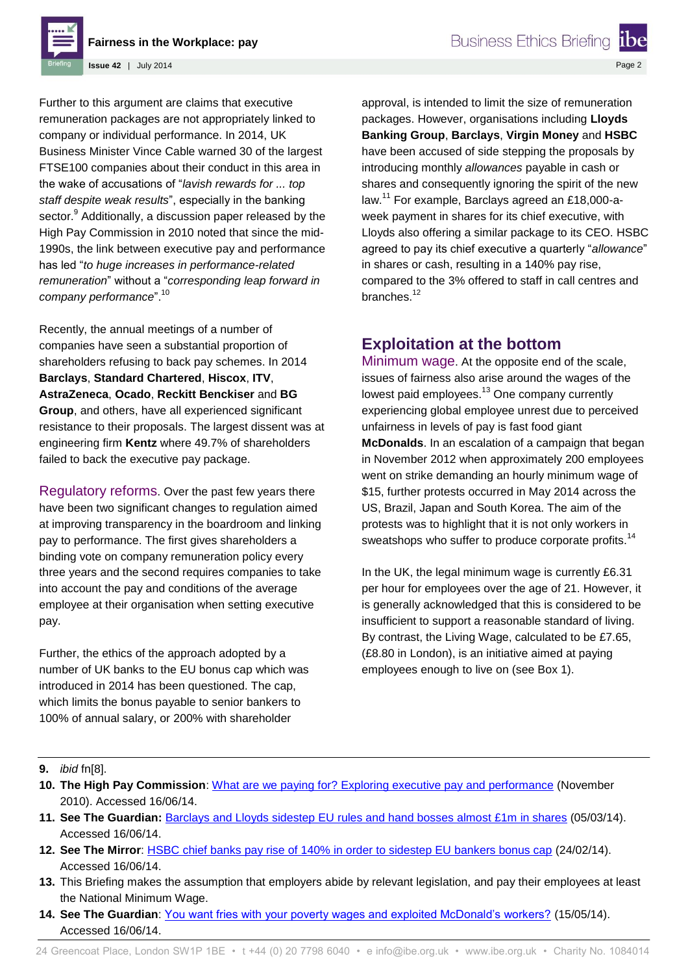**Fairness in the Workplace: pay**

**Issue 42** | July 2014

Further to this argument are claims that executive remuneration packages are not appropriately linked to company or individual performance. In 2014, UK Business Minister Vince Cable warned 30 of the largest FTSE100 companies about their conduct in this area in the wake of accusations of "*lavish rewards for ... top staff despite weak results*", especially in the banking sector.<sup>9</sup> Additionally, a discussion paper released by the High Pay Commission in 2010 noted that since the mid-1990s, the link between executive pay and performance has led "*to huge increases in performance-related remuneration*" without a "*corresponding leap forward in company performance*".<sup>10</sup>

Recently, the annual meetings of a number of companies have seen a substantial proportion of shareholders refusing to back pay schemes. In 2014 **Barclays**, **Standard Chartered**, **Hiscox**, **ITV**, **AstraZeneca**, **Ocado**, **Reckitt Benckiser** and **BG Group**, and others, have all experienced significant resistance to their proposals. The largest dissent was at engineering firm **Kentz** where 49.7% of shareholders failed to back the executive pay package.

Regulatory reforms. Over the past few years there have been two significant changes to regulation aimed at improving transparency in the boardroom and linking pay to performance. The first gives shareholders a binding vote on company remuneration policy every three years and the second requires companies to take into account the pay and conditions of the average employee at their organisation when setting executive pay.

Further, the ethics of the approach adopted by a number of UK banks to the EU bonus cap which was introduced in 2014 has been questioned. The cap, which limits the bonus payable to senior bankers to 100% of annual salary, or 200% with shareholder

approval, is intended to limit the size of remuneration packages. However, organisations including **Lloyds Banking Group**, **Barclays**, **Virgin Money** and **HSBC** have been accused of side stepping the proposals by introducing monthly *allowances* payable in cash or shares and consequently ignoring the spirit of the new law.<sup>11</sup> For example, Barclays agreed an £18,000-aweek payment in shares for its chief executive, with Lloyds also offering a similar package to its CEO. HSBC agreed to pay its chief executive a quarterly "*allowance*" in shares or cash, resulting in a 140% pay rise, compared to the 3% offered to staff in call centres and branches.<sup>12</sup>

## **Exploitation at the bottom**

Minimum wage. At the opposite end of the scale, issues of fairness also arise around the wages of the lowest paid employees.<sup>13</sup> One company currently experiencing global employee unrest due to perceived unfairness in levels of pay is fast food giant **McDonalds**. In an escalation of a campaign that began in November 2012 when approximately 200 employees went on strike demanding an hourly minimum wage of \$15, further protests occurred in May 2014 across the US, Brazil, Japan and South Korea. The aim of the protests was to highlight that it is not only workers in sweatshops who suffer to produce corporate profits.<sup>14</sup>

In the UK, the legal minimum wage is currently £6.31 per hour for employees over the age of 21. However, it is generally acknowledged that this is considered to be insufficient to support a reasonable standard of living. By contrast, the Living Wage, calculated to be £7.65, (£8.80 in London), is an initiative aimed at paying employees enough to live on (see Box 1).

#### **9.** *ibid* fn[8].

- **10. The High Pay Commission**: What are [we paying for? Exploring executive pay and performance](http://www.mbsportal.bl.uk/secure/subjareas/accfinecon/highpaycommission/126842whatarewepayingfor11.pdf) (November 2010). Accessed 16/06/14.
- **11. See The Guardian:** [Barclays and Lloyds sidestep EU rules and hand bosses almost £1m in shares](http://www.theguardian.com/business/2014/mar/05/lloyds-bank-boss-shares-eu-bonus-cap) (05/03/14). Accessed 16/06/14.
- **12. See The Mirror**: [HSBC chief banks pay rise of 140% in order to sidestep EU bankers bonus cap](http://www.mirror.co.uk/money/city-news/hsbc-chief-banks-pay-rise-3180904) (24/02/14). Accessed 16/06/14.
- **13.** This Briefing makes the assumption that employers abide by relevant legislation, and pay their employees at least the National Minimum Wage.
- **14. See The Guardian**: [You want fries with your poverty wages and exploited McDonald's workers?](http://www.theguardian.com/commentisfree/2014/may/15/poverty-wages-exploited-workers-mcdonalds-protests) (15/05/14). Accessed 16/06/14.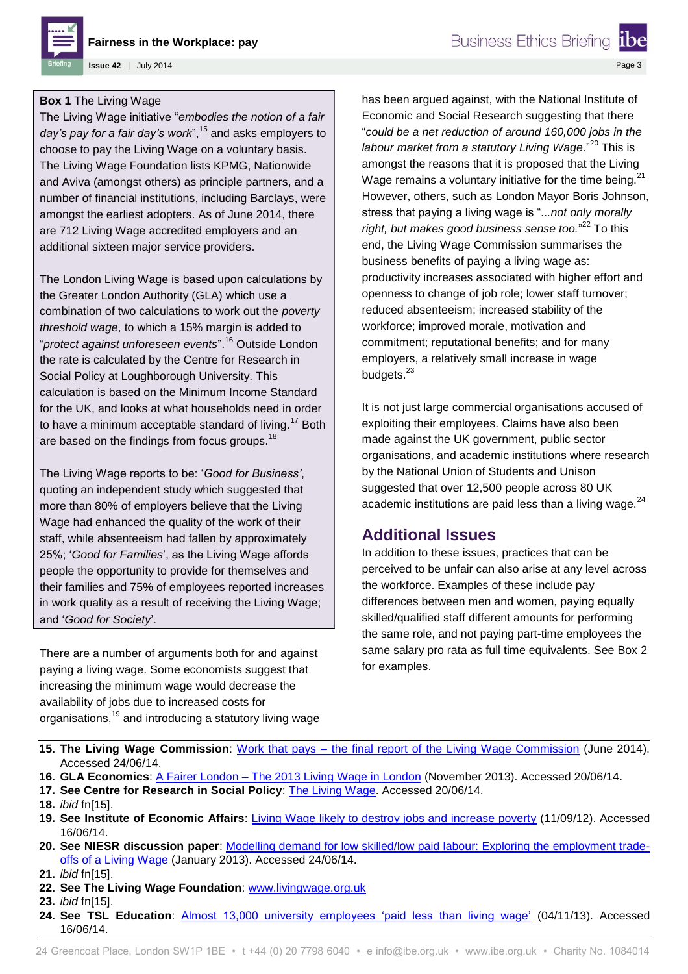

**Fairness in the Workplace: pay**

**Issue 42** | July 2014

#### **Box 1** The Living Wage

The Living Wage initiative "*embodies the notion of a fair*  day's pay for a fair day's work",<sup>15</sup> and asks employers to choose to pay the Living Wage on a voluntary basis. The Living Wage Foundation lists KPMG, Nationwide and Aviva (amongst others) as principle partners, and a number of financial institutions, including Barclays, were amongst the earliest adopters. As of June 2014, there are 712 Living Wage accredited employers and an additional sixteen major service providers.

The London Living Wage is based upon calculations by the Greater London Authority (GLA) which use a combination of two calculations to work out the *poverty threshold wage*, to which a 15% margin is added to "*protect against unforeseen events*".<sup>16</sup> Outside London the rate is calculated by the Centre for Research in Social Policy at Loughborough University. This calculation is based on the Minimum Income Standard for the UK, and looks at what households need in order to have a minimum acceptable standard of living.<sup>17</sup> Both are based on the findings from focus groups.<sup>18</sup>

The Living Wage reports to be: '*Good for Business'*, quoting an independent study which suggested that more than 80% of employers believe that the Living Wage had enhanced the quality of the work of their staff, while absenteeism had fallen by approximately 25%; '*Good for Families*', as the Living Wage affords people the opportunity to provide for themselves and their families and 75% of employees reported increases in work quality as a result of receiving the Living Wage; and '*Good for Society*'.

There are a number of arguments both for and against paying a living wage. Some economists suggest that increasing the minimum wage would decrease the availability of jobs due to increased costs for organisations,<sup>19</sup> and introducing a statutory living wage has been argued against, with the National Institute of Economic and Social Research suggesting that there "*could be a net reduction of around 160,000 jobs in the labour market from a statutory Living Wage*."<sup>20</sup> This is amongst the reasons that it is proposed that the Living Wage remains a voluntary initiative for the time being. $21$ However, others, such as London Mayor Boris Johnson, stress that paying a living wage is "*...not only morally*  right, but makes good business sense too."<sup>22</sup> To this end, the Living Wage Commission summarises the business benefits of paying a living wage as: productivity increases associated with higher effort and openness to change of job role; lower staff turnover; reduced absenteeism; increased stability of the workforce; improved morale, motivation and commitment; reputational benefits; and for many employers, a relatively small increase in wage budgets.<sup>23</sup>

It is not just large commercial organisations accused of exploiting their employees. Claims have also been made against the UK government, public sector organisations, and academic institutions where research by the National Union of Students and Unison suggested that over 12,500 people across 80 UK academic institutions are paid less than a living wage. $^{24}$ 

### **Additional Issues**

In addition to these issues, practices that can be perceived to be unfair can also arise at any level across the workforce. Examples of these include pay differences between men and women, paying equally skilled/qualified staff different amounts for performing the same role, and not paying part-time employees the same salary pro rata as full time equivalents. See Box 2 for examples.

- **15. The Living Wage Commission**: Work that pays [the final report of the Living Wage Commission](http://livingwagecommission.org.uk/wp-content/uploads/2014/06/Work-that-pays_The-Final-Report-of-The-Living-Wage-Commission_w-3.pdf) (June 2014). Accessed 24/06/14.
- **16. GLA Economics**: A Fairer London [The 2013 Living Wage in London](http://www.london.gov.uk/sites/default/files/living-wage-2013.pdf) (November 2013). Accessed 20/06/14.
- **17. See Centre for Research in Social Policy**: [The Living Wage.](http://www.lboro.ac.uk/research/crsp/mis/thelivingwage/) Accessed 20/06/14.
- **18.** *ibid* fn[15].
- **19. See Institute of Economic Affairs**: [Living Wage likely to destroy jobs and increase poverty](http://www.iea.org.uk/blog/living-wage-likely-to-destroy-jobs-and-increase-poverty) (11/09/12). Accessed 16/06/14.
- **20. See NIESR discussion paper**: [Modelling demand for low skilled/low paid labour: Exploring the employment trade](http://www.niesr.ac.uk/sites/default/files/publications/dp404.pdf)[offs of a Living Wage](http://www.niesr.ac.uk/sites/default/files/publications/dp404.pdf) (January 2013). Accessed 24/06/14.
- **21.** *ibid* fn[15].
- **22. See The Living Wage Foundation**: [www.livingwage.org.uk](file://IBE-DC01/Scratch$/Projects/IBE%20Briefings/In%20Progress/Fairness%20in%20the%20workplace/www.livingwage.org.uk)
- **23.** *ibid* fn[15].
- **24. See TSL Education**: [Almost 13,000 university employees 'paid less than living wage'](http://www.timeshighereducation.co.uk/news/many-university-employees-paid-less-than-living-wage/2008727.article) (04/11/13). Accessed 16/06/14.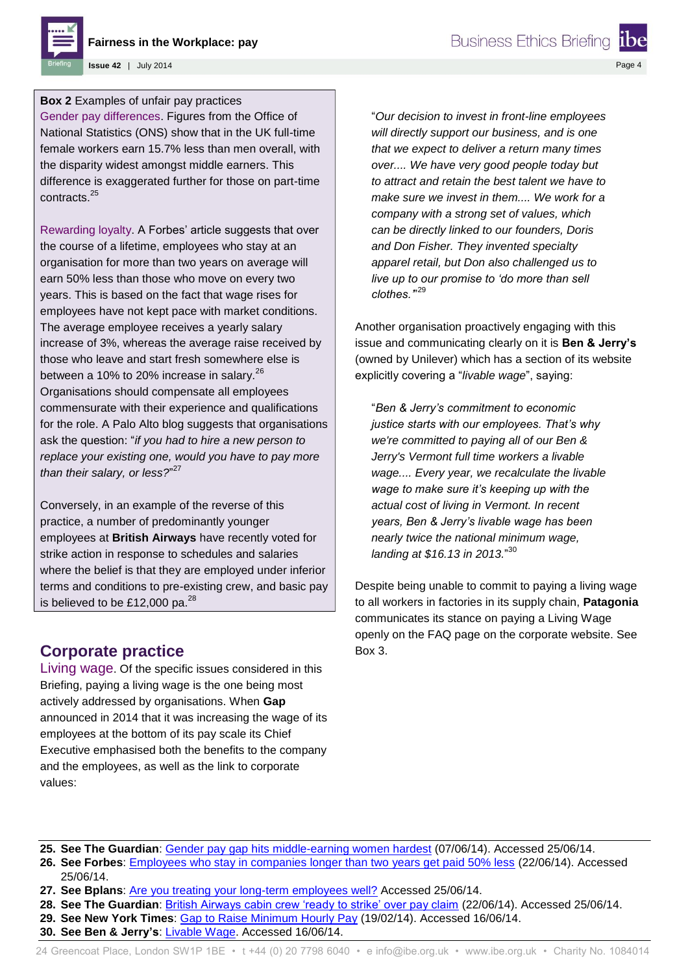

**Issue 42** | July 2014

**Box 2** Examples of unfair pay practices

Gender pay differences. Figures from the Office of National Statistics (ONS) show that in the UK full-time female workers earn 15.7% less than men overall, with the disparity widest amongst middle earners. This difference is exaggerated further for those on part-time contracts.<sup>25</sup>

Rewarding loyalty. A Forbes' article suggests that over the course of a lifetime, employees who stay at an organisation for more than two years on average will earn 50% less than those who move on every two years. This is based on the fact that wage rises for employees have not kept pace with market conditions. The average employee receives a yearly salary increase of 3%, whereas the average raise received by those who leave and start fresh somewhere else is between a 10% to 20% increase in salary.<sup>26</sup> Organisations should compensate all employees commensurate with their experience and qualifications for the role. A Palo Alto blog suggests that organisations ask the question: "*if you had to hire a new person to replace your existing one, would you have to pay more than their salary, or less?*" 27

Conversely, in an example of the reverse of this practice, a number of predominantly younger employees at **British Airways** have recently voted for strike action in response to schedules and salaries where the belief is that they are employed under inferior terms and conditions to pre-existing crew, and basic pay is believed to be £12,000 pa. $^{28}$ 

## **Corporate practice**

Living wage. Of the specific issues considered in this Briefing, paying a living wage is the one being most actively addressed by organisations. When **Gap**  announced in 2014 that it was increasing the wage of its employees at the bottom of its pay scale its Chief Executive emphasised both the benefits to the company and the employees, as well as the link to corporate values:

"*Our decision to invest in front-line employees will directly support our business, and is one that we expect to deliver a return many times over.... We have very good people today but to attract and retain the best talent we have to make sure we invest in them.... We work for a company with a strong set of values, which can be directly linked to our founders, Doris and Don Fisher. They invented specialty apparel retail, but Don also challenged us to live up to our promise to 'do more than sell clothes.'*" 29

**Business Ethics Briefing** 

Another organisation proactively engaging with this issue and communicating clearly on it is **Ben & Jerry's** (owned by Unilever) which has a section of its website explicitly covering a "*livable wage*", saying:

"*Ben & Jerry's commitment to economic justice starts with our employees. That's why we're committed to paying all of our Ben & Jerry's Vermont full time workers a livable wage.... Every year, we recalculate the livable wage to make sure it's keeping up with the actual cost of living in Vermont. In recent years, Ben & Jerry's livable wage has been nearly twice the national minimum wage, landing at \$16.13 in 2013.*" 30

Despite being unable to commit to paying a living wage to all workers in factories in its supply chain, **Patagonia**  communicates its stance on paying a Living Wage openly on the FAQ page on the corporate website. See Box 3.

- **25. See The Guardian**: [Gender pay gap hits middle-earning women hardest](http://www.theguardian.com/society/2014/jun/07/women-pay-gap-middle-earners) (07/06/14). Accessed 25/06/14.
- **26. See Forbes**: [Employees who stay in companies longer than two years get paid 50% less](http://www.forbes.com/sites/cameronkeng/2014/06/22/employees-that-stay-in-companies-longer-than-2-years-get-paid-50-less/) (22/06/14). Accessed 25/06/14.
- 27. See Bplans: [Are you treating your long-term employees well?](http://articles.bplans.com/are-you-treating-your-long-term-employees-well/) Accessed 25/06/14.
- **28. See The Guardian**: [British Airways cabin crew 'ready to strike' over pay claim](http://www.theguardian.com/business/2014/jun/22/british-airways-strike-action-threat-pay-claim-ba) (22/06/14). Accessed 25/06/14.
- **29. See New York Times**: [Gap to Raise Minimum Hourly Pay](http://www.nytimes.com/2014/02/20/business/gap-to-raise-minimum-hourly-pay.html?_r=1) (19/02/14). Accessed 16/06/14.
- **30. See Ben & Jerry's**: [Livable Wage.](http://www.benjerry.com/values/how-we-do-business/livable-wages) Accessed 16/06/14.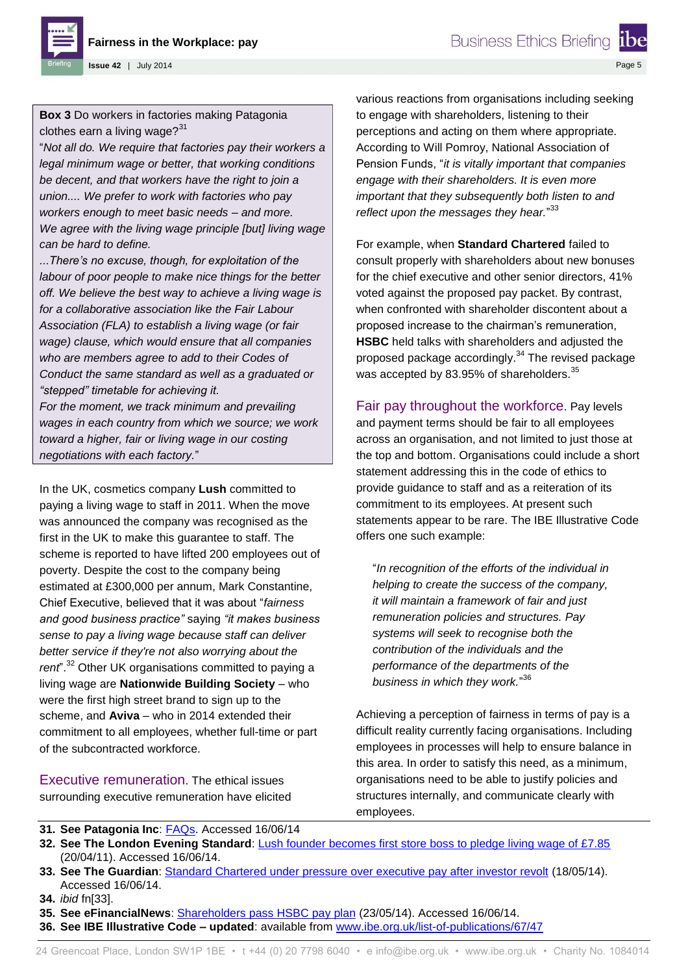**Fairness in the Workplace: pay**

**Business Ethics Briefing** 

Page 5

**Issue 42** | July 2014

**Box 3** Do workers in factories making Patagonia clothes earn a living wage? $31$ 

"*Not all do. We require that factories pay their workers a legal minimum wage or better, that working conditions be decent, and that workers have the right to join a union.... We prefer to work with factories who pay workers enough to meet basic needs – and more. We agree with the living wage principle [but] living wage can be hard to define.*

*...There's no excuse, though, for exploitation of the labour of poor people to make nice things for the better off. We believe the best way to achieve a living wage is for a collaborative association like the Fair Labour Association (FLA) to establish a living wage (or fair wage) clause, which would ensure that all companies who are members agree to add to their Codes of Conduct the same standard as well as a graduated or "stepped" timetable for achieving it.*

*For the moment, we track minimum and prevailing wages in each country from which we source; we work toward a higher, fair or living wage in our costing negotiations with each factory.*"

In the UK, cosmetics company **Lush** committed to paying a living wage to staff in 2011. When the move was announced the company was recognised as the first in the UK to make this guarantee to staff. The scheme is reported to have lifted 200 employees out of poverty. Despite the cost to the company being estimated at £300,000 per annum, Mark Constantine, Chief Executive, believed that it was about "*fairness and good business practice"* saying *"it makes business sense to pay a living wage because staff can deliver better service if they're not also worrying about the rent*".<sup>32</sup> Other UK organisations committed to paying a living wage are **Nationwide Building Society** – who were the first high street brand to sign up to the scheme, and **Aviva** – who in 2014 extended their commitment to all employees, whether full-time or part of the subcontracted workforce.

Executive remuneration. The ethical issues surrounding executive remuneration have elicited various reactions from organisations including seeking to engage with shareholders, listening to their perceptions and acting on them where appropriate. According to Will Pomroy, National Association of Pension Funds, "*it is vitally important that companies engage with their shareholders. It is even more important that they subsequently both listen to and reflect upon the messages they hear.*" 33

For example, when **Standard Chartered** failed to consult properly with shareholders about new bonuses for the chief executive and other senior directors, 41% voted against the proposed pay packet. By contrast, when confronted with shareholder discontent about a proposed increase to the chairman's remuneration, **HSBC** held talks with shareholders and adjusted the proposed package accordingly.<sup>34</sup> The revised package was accepted by 83.95% of shareholders.<sup>35</sup>

Fair pay throughout the workforce. Pay levels and payment terms should be fair to all employees across an organisation, and not limited to just those at the top and bottom. Organisations could include a short statement addressing this in the code of ethics to provide guidance to staff and as a reiteration of its commitment to its employees. At present such statements appear to be rare. The IBE Illustrative Code offers one such example:

"*In recognition of the efforts of the individual in helping to create the success of the company, it will maintain a framework of fair and just remuneration policies and structures. Pay systems will seek to recognise both the contribution of the individuals and the performance of the departments of the business in which they work.*" 36

Achieving a perception of fairness in terms of pay is a difficult reality currently facing organisations. Including employees in processes will help to ensure balance in this area. In order to satisfy this need, as a minimum, organisations need to be able to justify policies and structures internally, and communicate clearly with employees.

- **31. See Patagonia Inc**: [FAQs.](http://www.patagonia.com/us/patagonia.go?assetid=67517) Accessed 16/06/14
- **32. See The London Evening Standard**: [Lush founder becomes first store boss to pledge living wage of £7.85](http://www.standard.co.uk/news/lush-founder-becomes-first-store-boss-to-pledge-living-wage-of-785-6394231.html) (20/04/11). Accessed 16/06/14.
- **33. See The Guardian**: [Standard Chartered under pressure over executive pay after investor revolt](http://www.theguardian.com/business/2014/may/18/standard-chartered-pressure-executive-pay-investor-revolt) (18/05/14). Accessed 16/06/14.
- **34.** *ibid* fn[33].
- **35. See eFinancialNews**: [Shareholders pass HSBC pay plan](http://www.efinancialnews.com/story/2014-05-23/hsbc-agm-2014-pay?ea9c8a2de0ee111045601ab04d673622) (23/05/14). Accessed 16/06/14.
- **36. See IBE Illustrative Code – updated**: available from [www.ibe.org.uk/list-of-publications/67/47](file://IBE-DC01/Scratch$/Projects/IBE%20Briefings/In%20Progress/Fairness%20in%20the%20workplace/www.ibe.org.uk/list-of-publications/67/47)